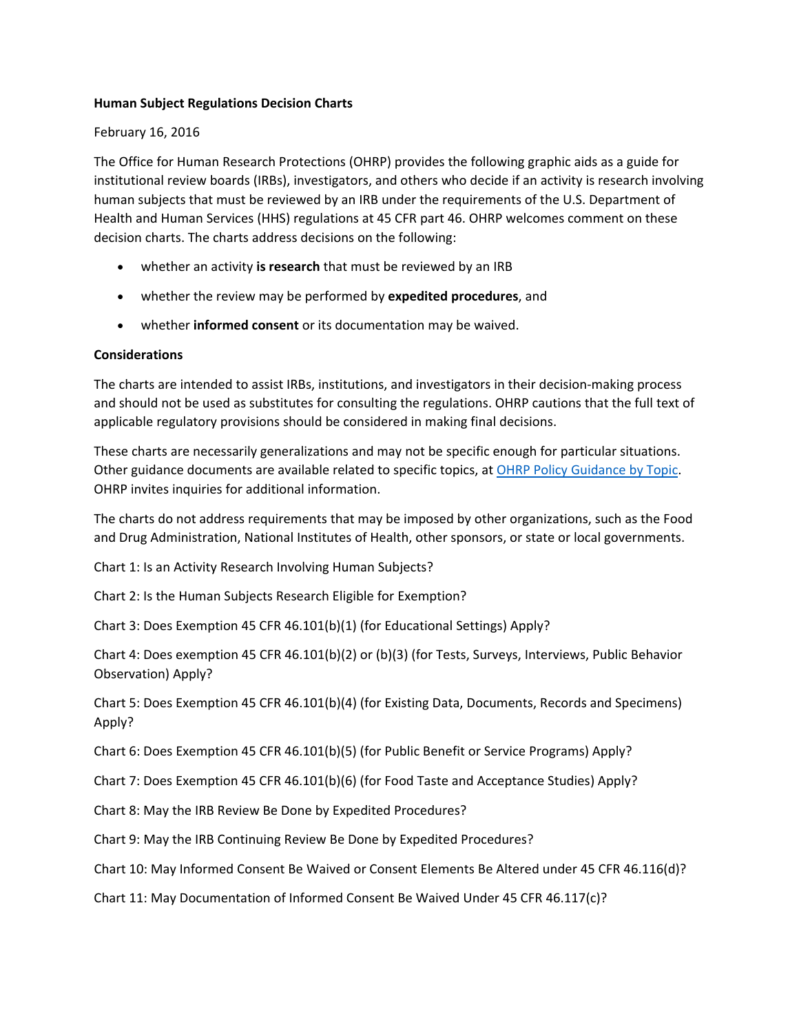#### **Human Subject Regulations Decision Charts**

#### February 16, 2016

The Office for Human Research Protections (OHRP) provides the following graphic aids as a guide for institutional review boards (IRBs), investigators, and others who decide if an activity is research involving human subjects that must be reviewed by an IRB under the requirements of the U.S. Department of Health and Human Services (HHS) regulations at 45 CFR part 46. OHRP welcomes comment on these decision charts. The charts address decisions on the following:

- whether an activity **is research** that must be reviewed by an IRB
- whether the review may be performed by **expedited procedures**, and
- whether **informed consent** or its documentation may be waived.

#### **Considerations**

The charts are intended to assist IRBs, institutions, and investigators in their decision‐making process and should not be used as substitutes for consulting the regulations. OHRP cautions that the full text of applicable regulatory provisions should be considered in making final decisions.

These charts are necessarily generalizations and may not be specific enough for particular situations. Other guidance documents are available related to specific topics, at OHRP Policy [Guidance](http://www.hhs.gov/ohrp/regulations-and-policy/index.html#topics) by Topic. OHRP invites inquiries for additional information.

The charts do not address requirements that may be imposed by other organizations, such as the Food and Drug Administration, National Institutes of Health, other sponsors, or state or local governments.

Chart 1: Is an Activity Research Involving Human Subjects?

Chart 2: Is the Human Subjects Research Eligible for Exemption?

Chart 3: Does Exemption 45 CFR 46.101(b)(1) (for Educational Settings) Apply?

Chart 4: Does exemption 45 CFR 46.101(b)(2) or (b)(3) (for Tests, Surveys, Interviews, Public Behavior Observation) Apply?

Chart 5: Does Exemption 45 CFR 46.101(b)(4) (for Existing Data, Documents, Records and Specimens) Apply?

Chart 6: Does Exemption 45 CFR 46.101(b)(5) (for Public Benefit or Service Programs) Apply?

Chart 7: Does Exemption 45 CFR 46.101(b)(6) (for Food Taste and Acceptance Studies) Apply?

Chart 8: May the IRB Review Be Done by Expedited Procedures?

Chart 9: May the IRB Continuing Review Be Done by Expedited Procedures?

Chart 10: May Informed Consent Be Waived or Consent Elements Be Altered under 45 CFR 46.116(d)?

Chart 11: May Documentation of Informed Consent Be Waived Under 45 CFR 46.117(c)?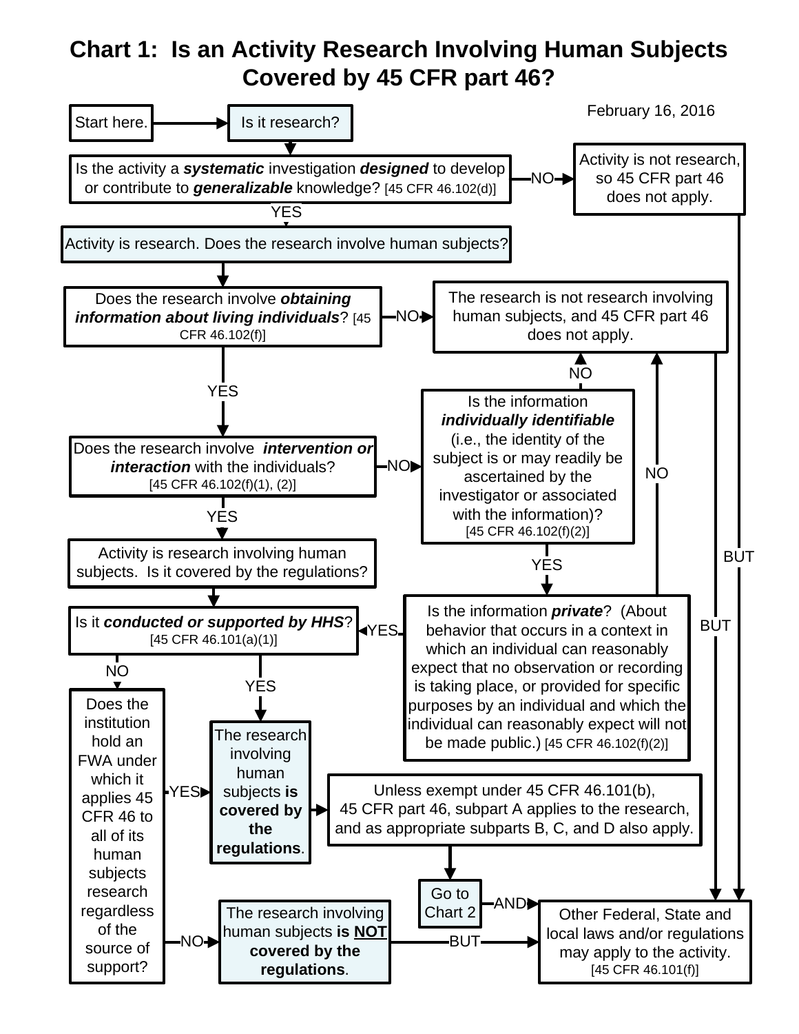# **Chart 1: Is an Activity Research Involving Human Subjects Covered by 45 CFR part 46?**

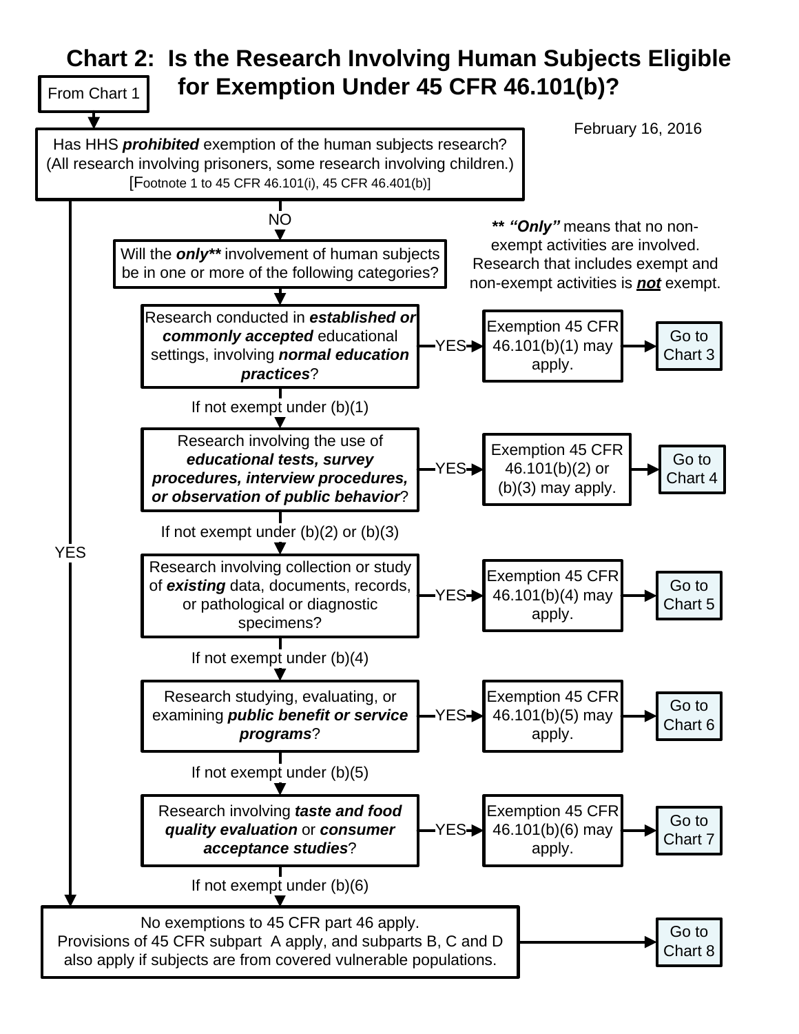### **Chart 2: Is the Research Involving Human Subjects Eligible for Exemption Under 45 CFR 46.101(b)?** From Chart 1

Has HHS *prohibited* exemption of the human subjects research? (All research involving prisoners, some research involving children.) [Footnote 1 to 45 CFR 46.101(i), 45 CFR 46.401(b)]

February 16, 2016

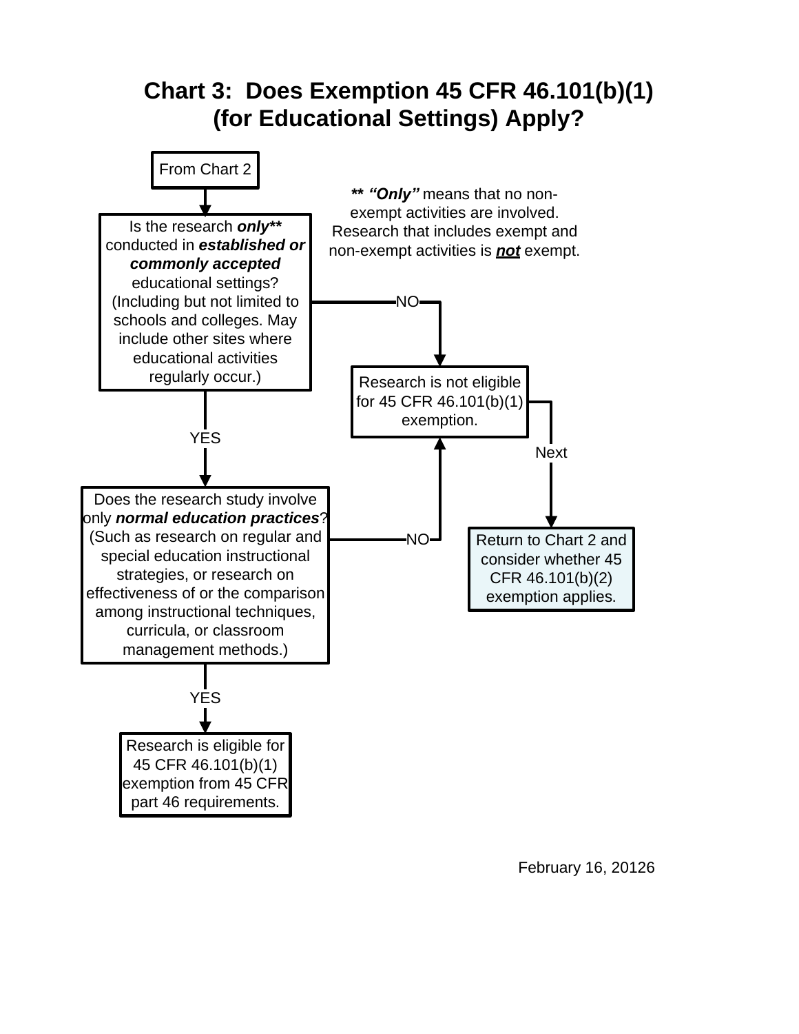

February 16, 20126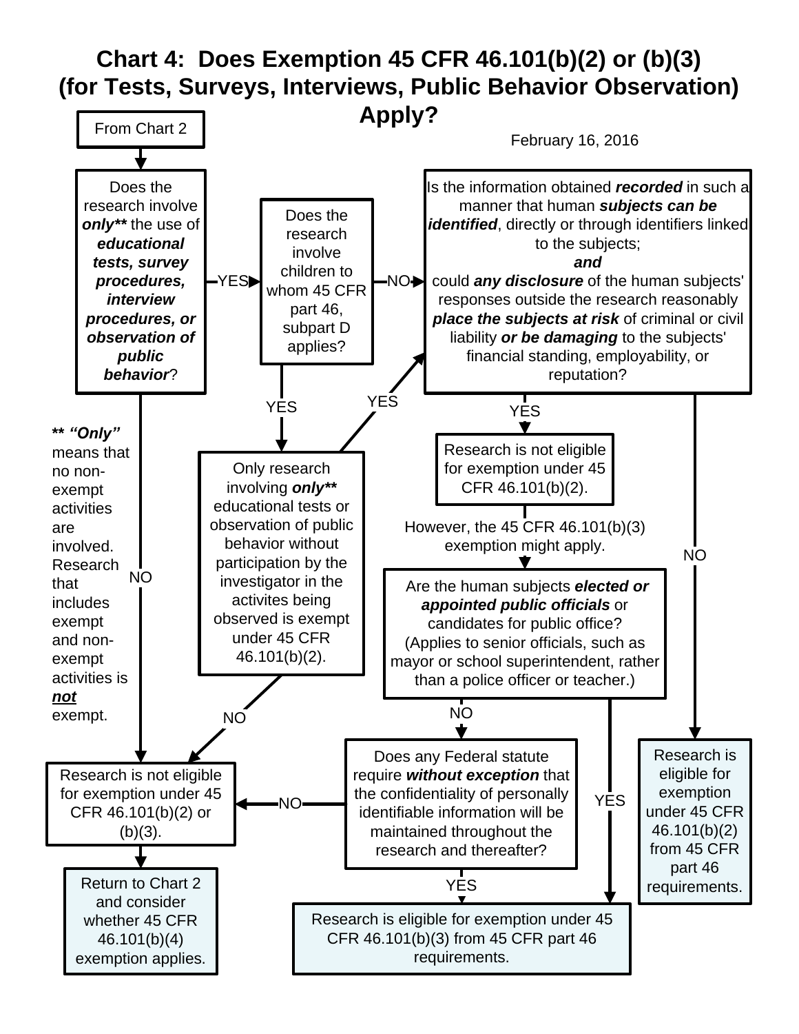# **Chart 4: Does Exemption 45 CFR 46.101(b)(2) or (b)(3) (for Tests, Surveys, Interviews, Public Behavior Observation)**

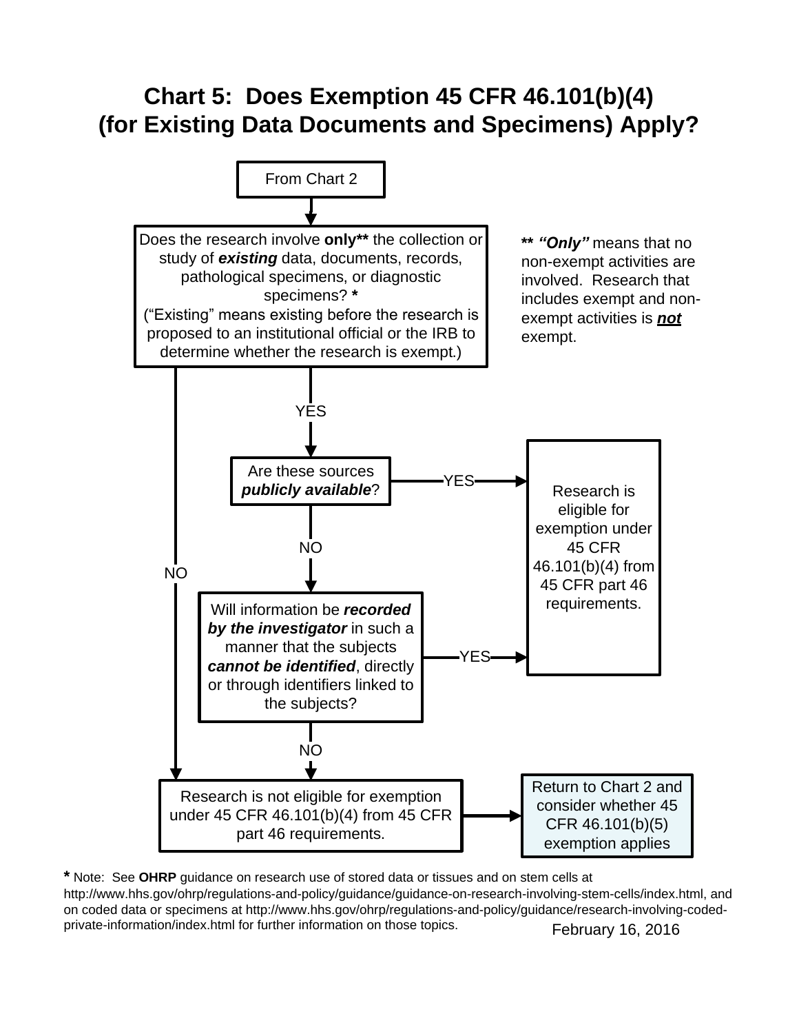# **Chart 5: Does Exemption 45 CFR 46.101(b)(4) (for Existing Data Documents and Specimens) Apply?**



February 16, 2016 **\*** Note: See **OHRP** guidance on research use of stored data or tissues and on stem cells at http://www.hhs.gov/ohrp/regulations-and-policy/guidance/guidance-on-research-involving-stem-cells/index.html, and on coded data or specimens at http://www.hhs.gov/ohrp/regulations-and-policy/guidance/research-involving-codedprivate-information/index.html for further information on those topics.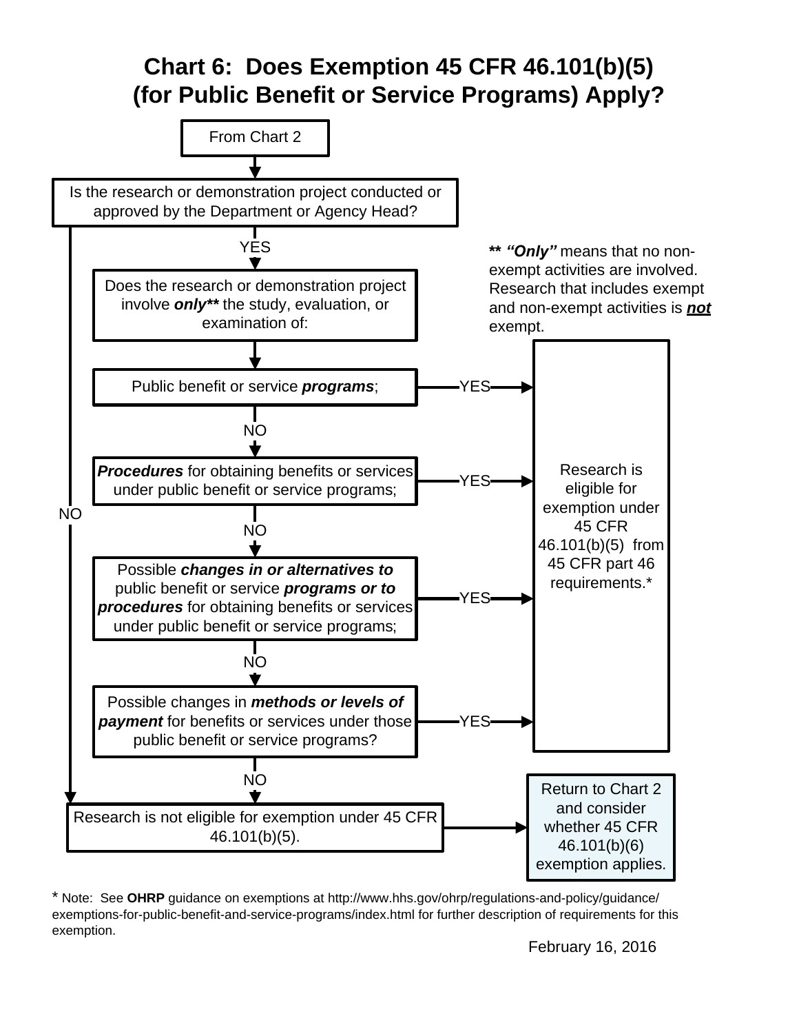# **Chart 6: Does Exemption 45 CFR 46.101(b)(5) (for Public Benefit or Service Programs) Apply?**



\* Note: See **OHRP** guidance on exemptions at http://www.hhs.gov/ohrp/regulations-and-policy/guidance/ exemptions-for-public-benefit-and-service-programs/index.html for further description of requirements for this exemption.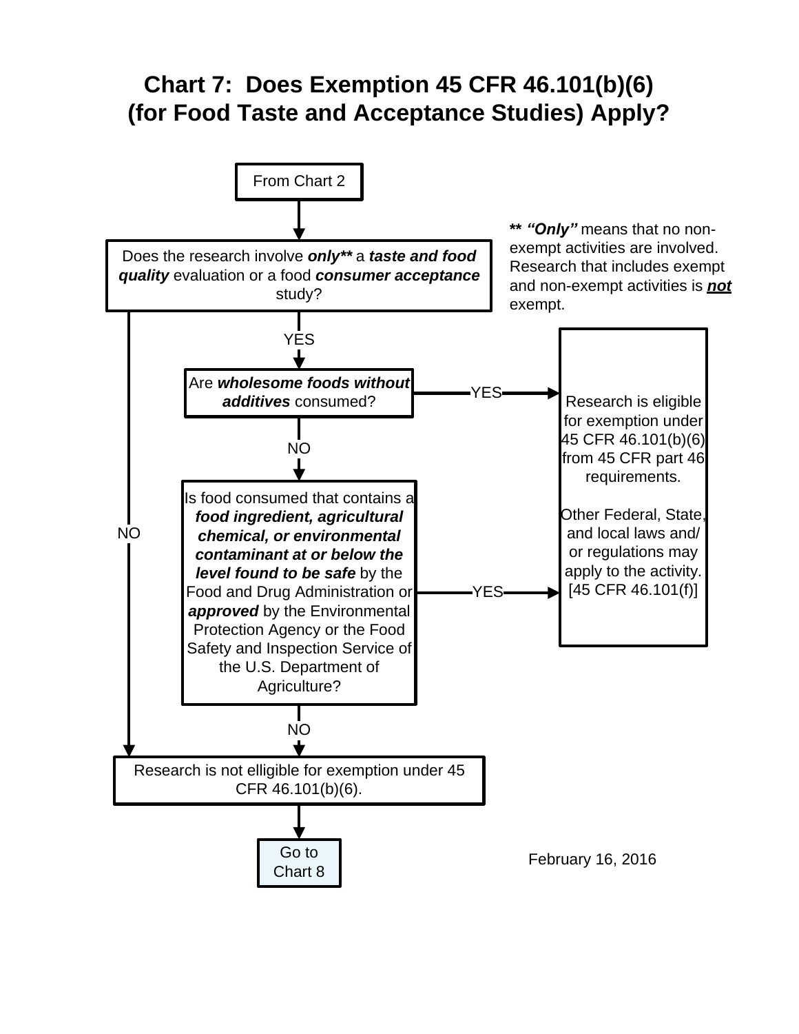# **Chart 7: Does Exemption 45 CFR 46.101(b)(6) (for Food Taste and Acceptance Studies) Apply?**

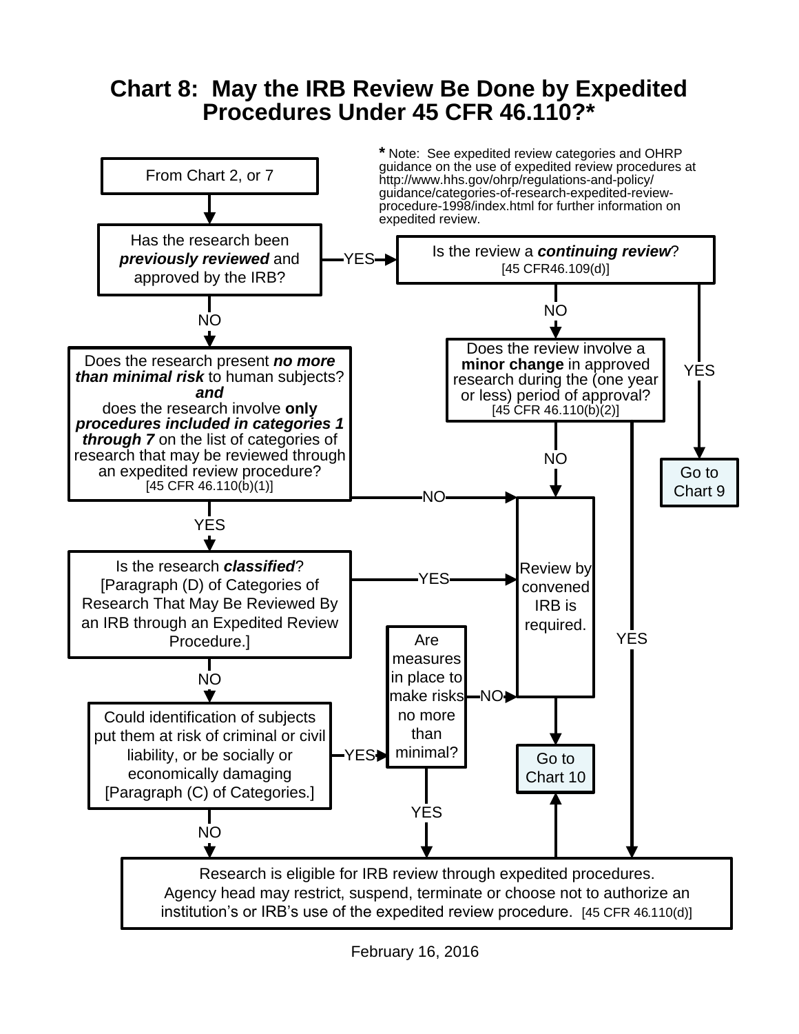# **Chart 8: May the IRB Review Be Done by Expedited Procedures Under 45 CFR 46.110?\***

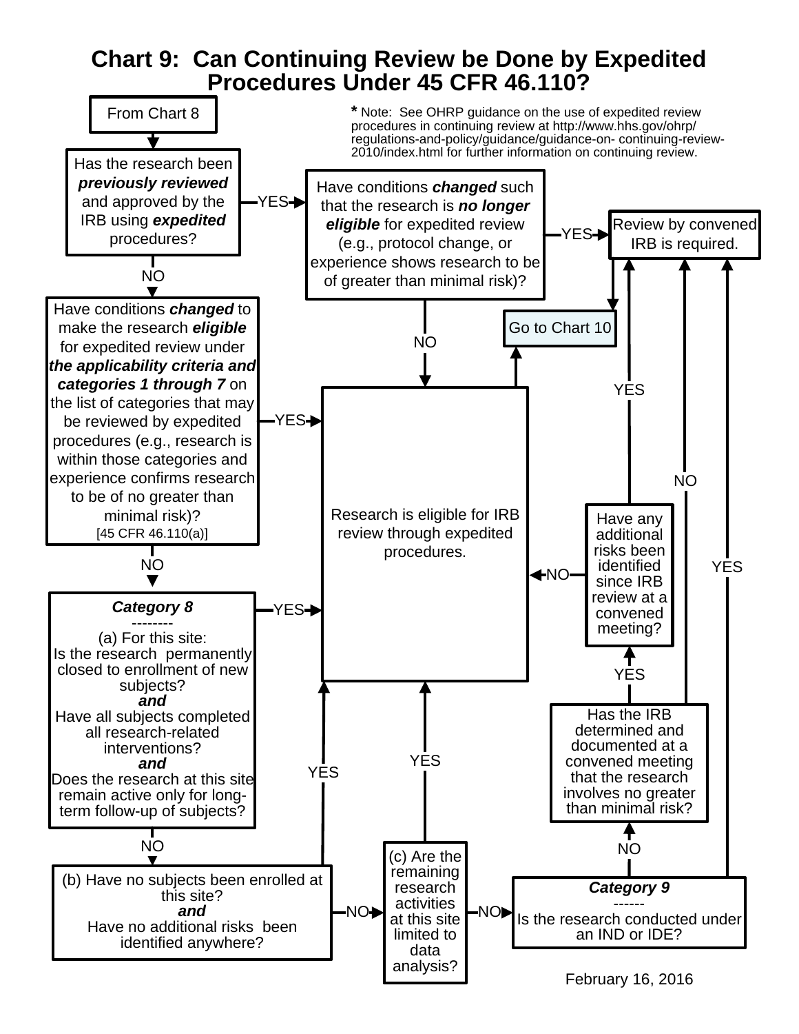### **Chart 9: Can Continuing Review be Done by Expedited Procedures Under 45 CFR 46.110?**

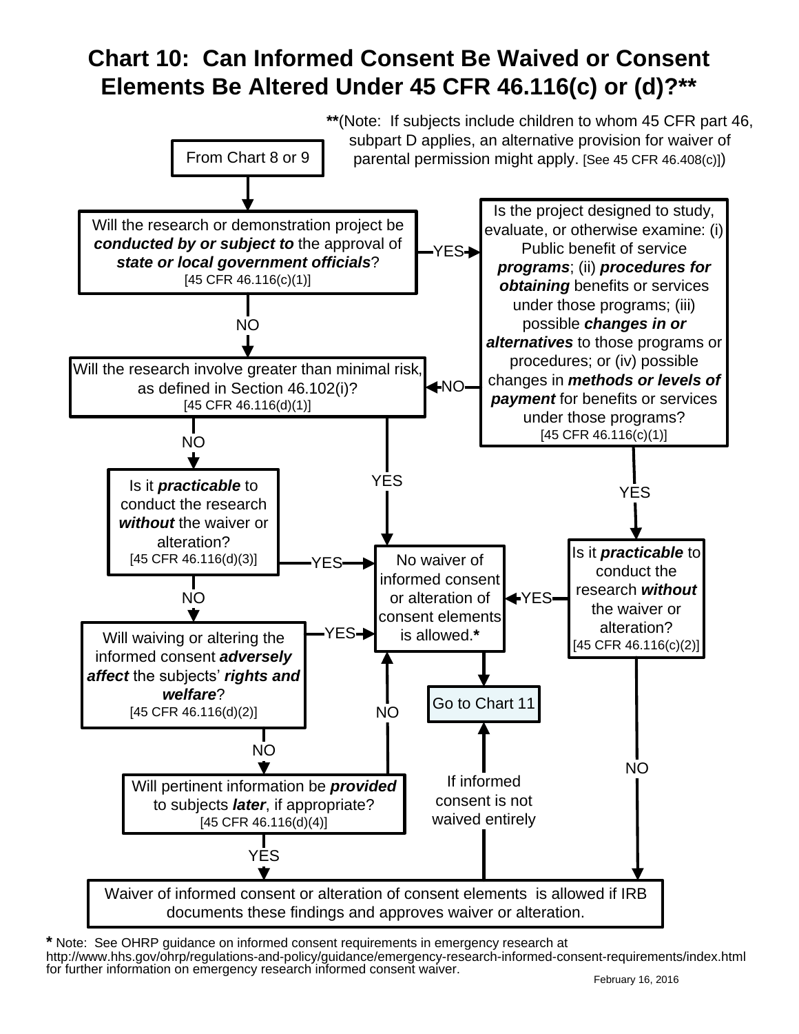# **Chart 10: Can Informed Consent Be Waived or Consent Elements Be Altered Under 45 CFR 46.116(c) or (d)?\*\***



**\*** Note: See OHRP guidance on informed consent requirements in emergency research at http://www.hhs.gov/ohrp/regulations-and-policy/guidance/emergency-research-informed-consent-requirements/index.html for further information on emergency research informed consent waiver.